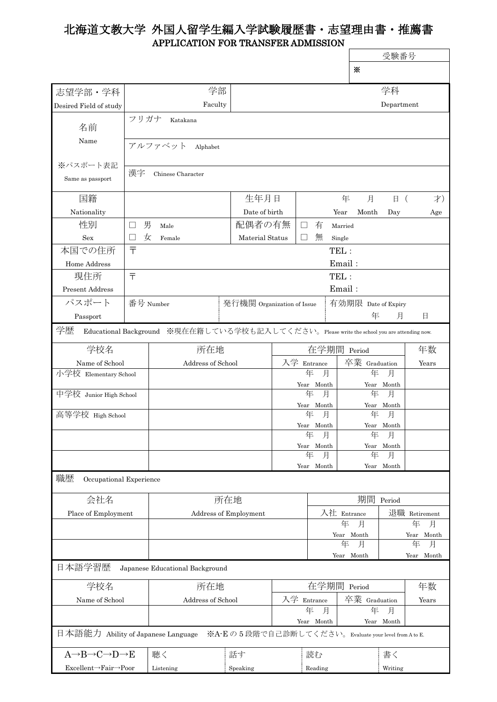## 北海道文教大学 外国人留学生編入学試験履歴書・志望理由書・推薦書 APPLICATION FOR TRANSFER ADMISSION

|                                                                                                  |                                                                                            |                                                                |    |                      |                      |                 |                      | 受験番号            |                 |  |
|--------------------------------------------------------------------------------------------------|--------------------------------------------------------------------------------------------|----------------------------------------------------------------|----|----------------------|----------------------|-----------------|----------------------|-----------------|-----------------|--|
|                                                                                                  |                                                                                            |                                                                |    |                      |                      |                 | ⋇                    |                 |                 |  |
| 志望学部·学科                                                                                          |                                                                                            | 学部                                                             |    | 学科                   |                      |                 |                      |                 |                 |  |
| Desired Field of study                                                                           |                                                                                            | Faculty                                                        |    |                      |                      |                 |                      | Department      |                 |  |
| 名前                                                                                               | フリガナ                                                                                       | Katakana                                                       |    |                      |                      |                 |                      |                 |                 |  |
| Name                                                                                             |                                                                                            | アルファベット<br>Alphabet                                            |    |                      |                      |                 |                      |                 |                 |  |
| ※パスポート表記                                                                                         |                                                                                            |                                                                |    |                      |                      |                 |                      |                 |                 |  |
| Same as passport                                                                                 | 漢字                                                                                         | Chinese Character                                              |    |                      |                      |                 |                      |                 |                 |  |
| 国籍                                                                                               |                                                                                            |                                                                |    | 生年月日                 |                      |                 | 年<br>月               | 日 (             | 才)              |  |
| Nationality                                                                                      |                                                                                            |                                                                |    | Date of birth        |                      |                 | Year<br>Month        | Day             | Age             |  |
| 性別                                                                                               | 男                                                                                          | Male                                                           |    | 配偶者の有無               |                      | 有<br>$\Box$     | Married              |                 |                 |  |
| Sex                                                                                              | 女                                                                                          | Female                                                         |    | Material Status      |                      | 無               | Single               |                 |                 |  |
| 本国での住所                                                                                           | $\bar{T}$                                                                                  | TEL:                                                           |    |                      |                      |                 |                      |                 |                 |  |
| Home Address                                                                                     |                                                                                            | Email:                                                         |    |                      |                      |                 |                      |                 |                 |  |
| 現住所                                                                                              | 〒<br>TEL:                                                                                  |                                                                |    |                      |                      |                 |                      |                 |                 |  |
| <b>Present Address</b>                                                                           |                                                                                            |                                                                |    |                      |                      |                 | Email:               |                 |                 |  |
| パスポート                                                                                            |                                                                                            | 番号 Number<br>発行機関 Organization of Issue<br>有効期限 Date of Expiry |    |                      |                      |                 |                      |                 |                 |  |
| Passport                                                                                         |                                                                                            |                                                                |    |                      |                      |                 | 年                    | 月               | 日               |  |
| 学歴<br>Educational Background ※現在在籍している学校も記入してください。Please write the school you are attending now. |                                                                                            |                                                                |    |                      |                      |                 |                      |                 |                 |  |
| 学校名                                                                                              |                                                                                            | 所在地                                                            |    |                      | 在学期間<br>Period       |                 |                      | 年数              |                 |  |
| Name of School                                                                                   |                                                                                            | Address of School                                              |    |                      | 入学 Entrance          |                 | 卒業 Graduation        |                 | Years           |  |
| 小学校 Elementary School                                                                            |                                                                                            |                                                                |    |                      | 月<br>年<br>Year Month |                 | 年<br>月<br>Year Month |                 |                 |  |
| 中学校 Junior High School                                                                           |                                                                                            |                                                                |    |                      | 月<br>年<br>Year Month |                 | 年                    | 月<br>Year Month |                 |  |
| 高等学校 High School                                                                                 |                                                                                            |                                                                |    |                      | 年<br>月               |                 | 年                    | 月               |                 |  |
|                                                                                                  |                                                                                            |                                                                |    |                      | Year                 |                 | Month<br>Year        |                 |                 |  |
|                                                                                                  |                                                                                            |                                                                |    |                      |                      | 年<br>月          | 年                    | 月               |                 |  |
|                                                                                                  |                                                                                            |                                                                |    |                      | Year Month<br>年      |                 | 年                    | Year Month<br>月 |                 |  |
|                                                                                                  |                                                                                            |                                                                |    |                      | 月<br>Year Month      |                 | Year Month           |                 |                 |  |
| 職歴<br>Occupational Experience                                                                    |                                                                                            |                                                                |    |                      |                      |                 |                      |                 |                 |  |
| 会社名                                                                                              |                                                                                            | 所在地                                                            |    |                      |                      |                 | 期間                   | Period          |                 |  |
| Place of Employment                                                                              |                                                                                            | Address of Employment                                          |    |                      | 入社 Entrance          |                 |                      |                 | 退職 Retirement   |  |
|                                                                                                  |                                                                                            |                                                                |    |                      |                      | 年<br>月          | 年<br>月               |                 |                 |  |
|                                                                                                  |                                                                                            |                                                                |    |                      |                      | Year Month<br>年 | Year Month<br>年      |                 |                 |  |
|                                                                                                  |                                                                                            |                                                                |    |                      |                      |                 | 月<br>Year Month      |                 | 月<br>Year Month |  |
| 日本語学習歴<br>Japanese Educational Background                                                        |                                                                                            |                                                                |    |                      |                      |                 |                      |                 |                 |  |
| 学校名                                                                                              |                                                                                            | 所在地                                                            |    |                      | 在学期間<br>Period       |                 |                      | 年数              |                 |  |
| Name of School                                                                                   |                                                                                            | Address of School                                              |    |                      | 入学 Entrance          |                 |                      | 卒業 Graduation   |                 |  |
|                                                                                                  |                                                                                            |                                                                |    | 年<br>月<br>Year Month |                      |                 | 年<br>月<br>Year Month |                 |                 |  |
|                                                                                                  | 日本語能力 Ability of Japanese Language<br>※A-Eの5段階で自己診断してください。Evaluate your level from A to E. |                                                                |    |                      |                      |                 |                      |                 |                 |  |
| $A \rightarrow B \rightarrow C \rightarrow D \rightarrow E$                                      |                                                                                            | 聴く                                                             | 話す |                      | 読む                   |                 |                      | 書く              |                 |  |
| Excellent→Fair→Poor                                                                              |                                                                                            | Listening                                                      |    | Speaking             |                      | Reading         |                      | Writing         |                 |  |